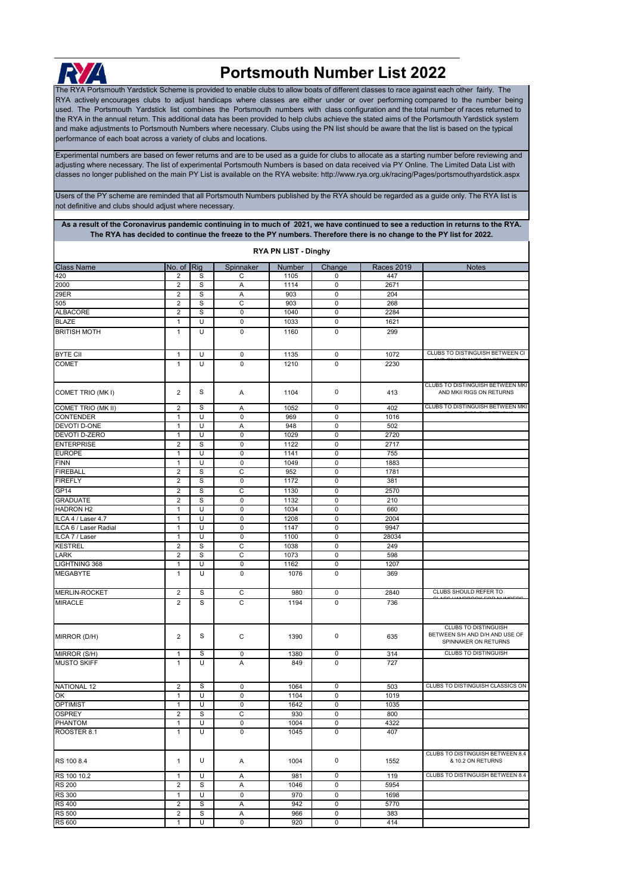

## **Portsmouth Number List 2022**

The RYA Portsmouth Yardstick Scheme is provided to enable clubs to allow boats of different classes to race against each other fairly. The RYA actively encourages clubs to adjust handicaps where classes are either under or over performing compared to the number being used. The Portsmouth Yardstick list combines the Portsmouth numbers with class configuration and the total number of races returned to the RYA in the annual return. This additional data has been provided to help clubs achieve the stated aims of the Portsmouth Yardstick system and make adjustments to Portsmouth Numbers where necessary. Clubs using the PN list should be aware that the list is based on the typical performance of each boat across a variety of clubs and locations.

[Experimental numbers are based](http://www.rya.org.uk/racing/Pages/portsmouthyardstick.aspx) on fewer returns and are to be used as a guide for clubs to allocate as a starting number before reviewing and [adjusting where necessary. The lis](http://www.rya.org.uk/racing/Pages/portsmouthyardstick.aspx)t of experimental Portsmouth Numbers is based on data received via PY Online. The Limited Data List with [classes no longer published on the](http://www.rya.org.uk/racing/Pages/portsmouthyardstick.aspx) main PY List is available on the RYA website: http://www.rya.org.uk/racing/Pages/portsmouthyardstick.aspx

Users of the PY scheme are reminded that all Portsmouth Numbers published by the RYA should be regarded as a guide only. The RYA list is not definitive and clubs should adjust where necessary.

**As a result of the Coronavirus pandemic continuing in to much of 2021, we have continued to see a reduction in returns to the RYA. The RYA has decided to continue the freeze to the PY numbers. Therefore there is no change to the PY list for 2022.** 

| RYA PN LIST - Dinghy  |                                |   |             |        |             |                   |                                                                                       |  |
|-----------------------|--------------------------------|---|-------------|--------|-------------|-------------------|---------------------------------------------------------------------------------------|--|
| <b>Class Name</b>     | No. of $\overline{\text{Rig}}$ |   | Spinnaker   | Number | Change      | <b>Races 2019</b> | <b>Notes</b>                                                                          |  |
| 420                   | 2                              | S | С           | 1105   | 0           | 447               |                                                                                       |  |
| 2000                  | $\overline{2}$                 | S | A           | 1114   | $\pmb{0}$   | 2671              |                                                                                       |  |
| 29ER                  | $\overline{2}$                 | S | A           | 903    | $\pmb{0}$   | 204               |                                                                                       |  |
| 505                   | $\overline{2}$                 | S | C           | 903    | $\mathbf 0$ | 268               |                                                                                       |  |
| <b>ALBACORE</b>       | $\overline{2}$                 | S | $\mathbf 0$ | 1040   | $\mathbf 0$ | 2284              |                                                                                       |  |
| <b>BLAZE</b>          | 1                              | U | 0           | 1033   | $\mathbf 0$ | 1621              |                                                                                       |  |
| <b>BRITISH MOTH</b>   | $\mathbf{1}$                   | U | $\mathbf 0$ | 1160   | $\pmb{0}$   | 299               |                                                                                       |  |
|                       |                                |   |             |        |             |                   |                                                                                       |  |
| <b>BYTE CII</b>       | $\mathbf{1}$                   | U | 0           | 1135   | $\pmb{0}$   | 1072              | CLUBS TO DISTINGUISH BETWEEN CI                                                       |  |
| <b>COMET</b>          | $\mathbf{1}$                   | U | 0           | 1210   | 0           | 2230              |                                                                                       |  |
|                       |                                |   |             |        |             |                   |                                                                                       |  |
| COMET TRIO (MKI)      | $\overline{2}$                 | S | Α           | 1104   | 0           | 413               | CLUBS TO DISTINGUISH BETWEEN MKI<br>AND MKII RIGS ON RETURNS                          |  |
| COMET TRIO (MK II)    | $\overline{2}$                 | S | Α           | 1052   | 0           | 402               | CLUBS TO DISTINGUISH BETWEEN MKI                                                      |  |
| CONTENDER             | 1                              | U | 0           | 969    | $\pmb{0}$   | 1016              |                                                                                       |  |
| DEVOTI D-ONE          | $\mathbf{1}$                   | U | Α           | 948    | $\pmb{0}$   | 502               |                                                                                       |  |
| DEVOTI D-ZERO         | $\mathbf{1}$                   | U | 0           | 1029   | $\pmb{0}$   | 2720              |                                                                                       |  |
| <b>ENTERPRISE</b>     | $\overline{2}$                 | S | $\mathbf 0$ | 1122   | $\mathbf 0$ | 2717              |                                                                                       |  |
| <b>EUROPE</b>         | $\mathbf{1}$                   | U | 0           | 1141   | $\pmb{0}$   | 755               |                                                                                       |  |
| <b>FINN</b>           | $\mathbf{1}$                   | U | 0           | 1049   | $\pmb{0}$   | 1883              |                                                                                       |  |
| <b>FIREBALL</b>       | $\overline{2}$                 | S | C           | 952    | $\mathbf 0$ | 1781              |                                                                                       |  |
| <b>FIREFLY</b>        | $\overline{2}$                 | S | $\pmb{0}$   | 1172   | $\pmb{0}$   | 381               |                                                                                       |  |
|                       |                                |   |             |        |             |                   |                                                                                       |  |
| GP <sub>14</sub>      | $\overline{2}$                 | S | C           | 1130   | $\mathbf 0$ | 2570              |                                                                                       |  |
| <b>GRADUATE</b>       | 2                              | S | $\mathbf 0$ | 1132   | $\mathbf 0$ | 210               |                                                                                       |  |
| <b>HADRON H2</b>      | $\mathbf{1}$                   | U | 0           | 1034   | $\pmb{0}$   | 660               |                                                                                       |  |
| ILCA 4 / Laser 4.7    | 1                              | U | 0           | 1208   | $\pmb{0}$   | 2004              |                                                                                       |  |
| ILCA 6 / Laser Radial | $\mathbf{1}$                   | U | 0           | 1147   | $\pmb{0}$   | 9947              |                                                                                       |  |
| ILCA 7 / Laser        | $\mathbf{1}$                   | U | $\mathbf 0$ | 1100   | $\mathbf 0$ | 28034             |                                                                                       |  |
| <b>KESTREL</b>        | $\overline{2}$                 | S | C           | 1038   | $\pmb{0}$   | 249               |                                                                                       |  |
| LARK                  | $\overline{2}$                 | S | C           | 1073   | $\pmb{0}$   | 598               |                                                                                       |  |
| LIGHTNING 368         | $\mathbf{1}$                   | U | 0           | 1162   | $\mathbf 0$ | 1207              |                                                                                       |  |
| <b>MEGABYTE</b>       | $\mathbf{1}$                   | U | $\mathbf 0$ | 1076   | $\pmb{0}$   | 369               |                                                                                       |  |
| <b>MERLIN-ROCKET</b>  | $\overline{2}$                 | S | C           | 980    | $\pmb{0}$   | 2840              | CLUBS SHOULD REFER TO                                                                 |  |
| <b>MIRACLE</b>        | $\overline{2}$                 | S | C           | 1194   | $\pmb{0}$   | 736               |                                                                                       |  |
|                       |                                |   |             |        |             |                   |                                                                                       |  |
| MIRROR (D/H)          | $\overline{2}$                 | S | C           | 1390   | $\pmb{0}$   | 635               | <b>CLUBS TO DISTINGUISH</b><br>BETWEEN S/H AND D/H AND USE OF<br>SPINNAKER ON RETURNS |  |
| MIRROR (S/H)          | $\mathbf{1}$                   | S | 0           | 1380   | $\pmb{0}$   | 314               | <b>CLUBS TO DISTINGUISH</b>                                                           |  |
| <b>MUSTO SKIFF</b>    | $\mathbf{1}$                   | U | A           | 849    | $\pmb{0}$   | 727               |                                                                                       |  |
| <b>NATIONAL 12</b>    | $\overline{\mathbf{c}}$        | S | 0           | 1064   | 0           | 503               | CLUBS TO DISTINGUISH CLASSICS ON                                                      |  |
| ОK                    | $\mathbf{1}$                   | U | 0           | 1104   | $\mathbf 0$ | 1019              |                                                                                       |  |
| <b>OPTIMIST</b>       | $\mathbf{1}$                   | U | 0           | 1642   | 0           | 1035              |                                                                                       |  |
| <b>OSPREY</b>         | $\overline{2}$                 | S | C           | 930    | $\pmb{0}$   | 800               |                                                                                       |  |
| PHANTOM               | 1                              | U | 0           | 1004   | 0           | 4322              |                                                                                       |  |
| ROOSTER 8.1           | $\mathbf{1}$                   | U | $\mathbf 0$ | 1045   | $\mathbf 0$ | 407               |                                                                                       |  |
|                       |                                |   |             |        |             |                   |                                                                                       |  |
| RS 100 8.4            | $\mathbf{1}$                   | U | Α           | 1004   | $\pmb{0}$   | 1552              | CLUBS TO DISTINGUISH BETWEEN 8.4<br>& 10.2 ON RETURNS                                 |  |
| RS 100 10.2           | $\mathbf{1}$                   | U | Α           | 981    | $\mathbf 0$ | 119               | CLUBS TO DISTINGUISH BETWEEN 8.4                                                      |  |
| <b>RS 200</b>         | $\overline{\mathbf{c}}$        | S | Α           | 1046   | $\mathbf 0$ | 5954              |                                                                                       |  |
| <b>RS 300</b>         | $\mathbf{1}$                   | U | 0           | 970    | $\pmb{0}$   | 1698              |                                                                                       |  |
| <b>RS 400</b>         | $\overline{\mathbf{c}}$        | S | Α           | 942    | 0           | 5770              |                                                                                       |  |
| <b>RS 500</b>         | $\overline{2}$                 | S | Α           | 966    | $\pmb{0}$   | 383               |                                                                                       |  |
| RS 600                | $\mathbf{1}$                   | U | 0           | 920    | 0           | 414               |                                                                                       |  |
|                       |                                |   |             |        |             |                   |                                                                                       |  |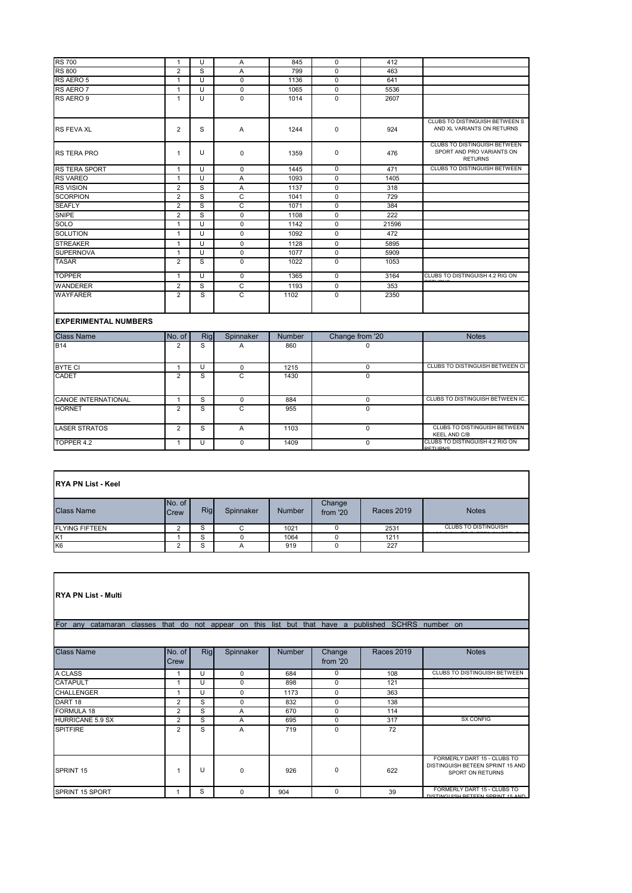| <b>RS 700</b>               | $\mathbf{1}$   | U              | Α              | 845           | $\Omega$        | 412         |                                                                             |
|-----------------------------|----------------|----------------|----------------|---------------|-----------------|-------------|-----------------------------------------------------------------------------|
| <b>RS 800</b>               | $\overline{2}$ | S              | A              | 799           | $\Omega$        | 463         |                                                                             |
| RS AERO 5                   | $\mathbf{1}$   | U              | $\mathbf 0$    | 1136          | $\mathbf 0$     | 641         |                                                                             |
| RS AERO 7                   | $\mathbf{1}$   | U              | $\mathbf 0$    | 1065          | $\mathbf 0$     | 5536        |                                                                             |
| RS AERO 9                   | $\mathbf{1}$   | U              | $\mathbf 0$    | 1014          | $\mathbf 0$     | 2607        |                                                                             |
|                             |                |                |                |               |                 |             |                                                                             |
| <b>RS FEVA XL</b>           | $\overline{2}$ | S              | A              | 1244          | $\mathbf 0$     | 924         | CLUBS TO DISTINGUISH BETWEEN S<br>AND XL VARIANTS ON RETURNS                |
| <b>RS TERA PRO</b>          | $\mathbf{1}$   | U              | $\Omega$       | 1359          | $\mathbf 0$     | 476         | CLUBS TO DISTINGUISH BETWEEN<br>SPORT AND PRO VARIANTS ON<br><b>RETURNS</b> |
| <b>RS TERA SPORT</b>        | 1              | U              | $\mathbf 0$    | 1445          | $\mathbf 0$     | 471         | CLUBS TO DISTINGUISH BETWEEN                                                |
| <b>RS VAREO</b>             | $\mathbf{1}$   | $\overline{U}$ | $\overline{A}$ | 1093          | $\mathbf 0$     | 1405        |                                                                             |
| <b>RS VISION</b>            | $\overline{2}$ | S              | Α              | 1137          | $\mathbf 0$     | 318         |                                                                             |
| <b>SCORPION</b>             | $\overline{2}$ | S              | $\overline{C}$ | 1041          | $\mathbf 0$     | 729         |                                                                             |
| <b>SEAFLY</b>               | $\overline{2}$ | S              | C              | 1071          | $\mathbf 0$     | 384         |                                                                             |
| SNIPE                       | $\overline{2}$ | s              | $\mathbf 0$    | 1108          | $\mathbf 0$     | 222         |                                                                             |
| <b>SOLO</b>                 | $\mathbf{1}$   | U              | $\mathbf 0$    | 1142          | $\Omega$        | 21596       |                                                                             |
| <b>SOLUTION</b>             | $\mathbf{1}$   | U              | $\mathbf 0$    | 1092          | $\mathbf 0$     | 472         |                                                                             |
| <b>STREAKER</b>             | $\mathbf{1}$   | U              | $\mathbf 0$    | 1128          | $\mathbf 0$     | 5895        |                                                                             |
| <b>SUPERNOVA</b>            | $\mathbf{1}$   | U              | $\mathbf 0$    | 1077          | $\mathbf 0$     | 5909        |                                                                             |
| <b>TASAR</b>                | $\overline{2}$ | S              | $\Omega$       | 1022          | $\mathbf 0$     | 1053        |                                                                             |
| <b>TOPPER</b>               | $\mathbf{1}$   | U              | $\Omega$       | 1365          | $\Omega$        | 3164        | CLUBS TO DISTINGUISH 4.2 RIG ON                                             |
| <b>WANDERER</b>             | $\overline{2}$ | S              | C              | 1193          | $\mathbf 0$     | 353         |                                                                             |
| <b>WAYFARER</b>             | $\overline{2}$ | S              | C              | 1102          | $\Omega$        | 2350        |                                                                             |
| <b>EXPERIMENTAL NUMBERS</b> |                |                |                |               |                 |             |                                                                             |
| <b>Class Name</b>           | No. of         | Rig            | Spinnaker      | <b>Number</b> | Change from '20 |             | <b>Notes</b>                                                                |
| <b>B14</b>                  | $\overline{2}$ | S              | A              | 860           | $\Omega$        |             |                                                                             |
| <b>BYTE CI</b>              | $\mathbf{1}$   | U              | $\mathbf 0$    | 1215          | $\mathbf 0$     |             | CLUBS TO DISTINGUISH BETWEEN CI                                             |
| <b>CADET</b>                | $\overline{2}$ | S              | C              | 1430          | $\Omega$        |             |                                                                             |
| <b>CANOE INTERNATIONAL</b>  | $\mathbf{1}$   | S              | $\mathbf 0$    | 884           | $\mathbf 0$     |             | CLUBS TO DISTINGUISH BETWEEN IC.                                            |
| <b>HORNET</b>               | $\overline{2}$ | S              | $\mathsf{C}$   | 955           | $\mathbf 0$     |             |                                                                             |
|                             |                |                |                |               |                 |             | <b>CLUBS TO DISTINGUISH BETWEEN</b>                                         |
| <b>LASER STRATOS</b>        | $\overline{2}$ | S              | $\mathsf{A}$   | 1103          |                 | $\mathbf 0$ | <b>KEEL AND C/B</b>                                                         |
| TOPPER 4.2                  | $\mathbf{1}$   | U              | $\Omega$       | 1409          |                 | $\mathbf 0$ | CLUBS TO DISTINGUISH 4.2 RIG ON<br><b>DETHIDNS</b>                          |

| <b>RYA PN List - Keel</b> |                       |     |           |               |                    |                   |                             |  |  |
|---------------------------|-----------------------|-----|-----------|---------------|--------------------|-------------------|-----------------------------|--|--|
| <b>Class Name</b>         | No. of<br><b>Crew</b> | Rig | Spinnaker | <b>Number</b> | Change<br>from '20 | <b>Races 2019</b> | <b>Notes</b>                |  |  |
| <b>FLYING FIFTEEN</b>     | ◠                     | S   | C         | 1021          |                    | 2531              | <b>CLUBS TO DISTINGUISH</b> |  |  |
| K <sub>1</sub>            |                       | S   |           | 1064          |                    | 1211              |                             |  |  |
| K <sub>6</sub>            | っ                     | S   | A         | 919           | 0                  | 227               |                             |  |  |

| <b>RYA PN List - Multi</b>                                                                          |                |     |             |               |                    |                   |                                                                                     |  |  |  |
|-----------------------------------------------------------------------------------------------------|----------------|-----|-------------|---------------|--------------------|-------------------|-------------------------------------------------------------------------------------|--|--|--|
| For any catamaran classes that do not appear on this list but that have a published SCHRS number on |                |     |             |               |                    |                   |                                                                                     |  |  |  |
|                                                                                                     |                |     |             |               |                    |                   |                                                                                     |  |  |  |
| <b>Class Name</b>                                                                                   | No. of<br>Crew | Rig | Spinnaker   | <b>Number</b> | Change<br>from '20 | <b>Races 2019</b> | <b>Notes</b>                                                                        |  |  |  |
| A CLASS                                                                                             | 1              | U   | $\mathbf 0$ | 684           | $\mathbf 0$        | 108               | <b>CLUBS TO DISTINGUISH BETWEEN</b>                                                 |  |  |  |
| <b>CATAPULT</b>                                                                                     | 1              | U   | $\Omega$    | 898           | $\Omega$           | 121               |                                                                                     |  |  |  |
| <b>CHALLENGER</b>                                                                                   | 1              | U   | $\Omega$    | 1173          | 0                  | 363               |                                                                                     |  |  |  |
| DART <sub>18</sub>                                                                                  | 2              | S   | $\Omega$    | 832           | $\Omega$           | 138               |                                                                                     |  |  |  |
| <b>FORMULA 18</b>                                                                                   | $\overline{2}$ | S   | A           | 670           | $\Omega$           | 114               |                                                                                     |  |  |  |
| HURRICANE 5.9 SX                                                                                    | $\overline{2}$ | S   | A           | 695           | $\Omega$           | 317               | <b>SX CONFIG</b>                                                                    |  |  |  |
| <b>SPITFIRE</b>                                                                                     | $\overline{2}$ | S   | A           | 719           | $\Omega$           | 72                |                                                                                     |  |  |  |
| SPRINT 15                                                                                           | -1             | U   | $\Omega$    | 926           | $\mathbf 0$        | 622               | FORMERLY DART 15 - CLUBS TO<br>DISTINGUISH BETEEN SPRINT 15 AND<br>SPORT ON RETURNS |  |  |  |
| SPRINT 15 SPORT                                                                                     | 1              | S   | $\Omega$    | 904           | $\Omega$           | 39                | FORMERLY DART 15 - CLUBS TO<br>DISTINCHISH RETEEN SODINT 15 AND                     |  |  |  |